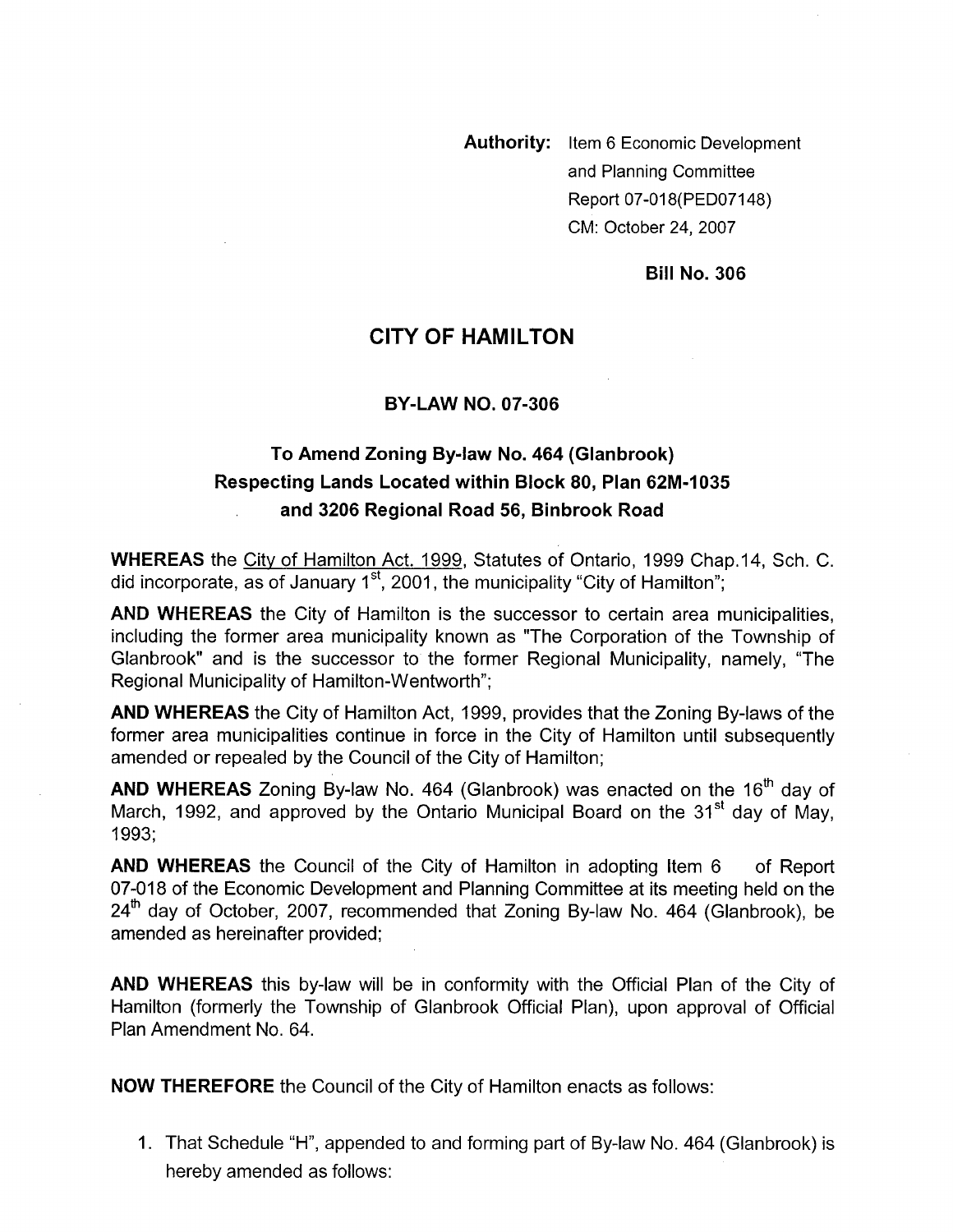**Authority:** Item 6 Economic Development and Planning Committee Report 07-018(PED07148) CM: October 24,2007

**Bill No. 306** 

## **CITY OF HAMILTON**

#### **BY-LAW NO. 07-306**

# To Amend Zoning By-law No. 464 (Glanbrook) **Respecting Lands Located within Block 80, Plan 62M-1035 and 3206 Regional Road 56, Binbrook Road**

**WHEREAS** the Citv of Hamilton Act. 1999, Statutes of Ontario, 1999 Chap.14, Sch. C. did incorporate, as of January  $1<sup>st</sup>$ , 2001, the municipality "City of Hamilton";

**AND WHEREAS** the City of Hamilton is the successor to certain area municipalities, including the former area municipality known as "The Corporation of the Township of Glanbrook" and is the successor to the former Regional Municipality, namely, "The Regional Municipality of Hamilton-Wentworth";

**AND WHEREAS** the City of Hamilton Act, 1999, provides that the Zoning By-laws of the former area municipalities continue in force in the City of Hamilton until subsequently amended or repealed by the Council of the City of Hamilton;

**AND WHEREAS** Zoning By-law No. 464 (Glanbrook) was enacted on the 16'h day of March, 1992, and approved by the Ontario Municipal Board on the  $31<sup>st</sup>$  day of May, 1993;

**AND WHEREAS** the Council of the City of Hamilton in adopting Item 6 of Report 07-018 of the Economic Development and Planning Committee at its meeting held on the  $24<sup>th</sup>$  dav of October, 2007, recommended that Zoning By-law No. 464 (Glanbrook), be amended as hereinafter provided;

**AND WHEREAS** this by-law will be in conformity with the Official Plan of the City of Hamilton (formerly the Township of Glanbrook Official Plan), upon approval of Official Plan Amendment No. 64.

**NOW THEREFORE** the Council of the City of Hamilton enacts as follows:

1. That Schedule "H", appended to and forming part of By-law No. 464 (Glanbrook) is hereby amended as follows: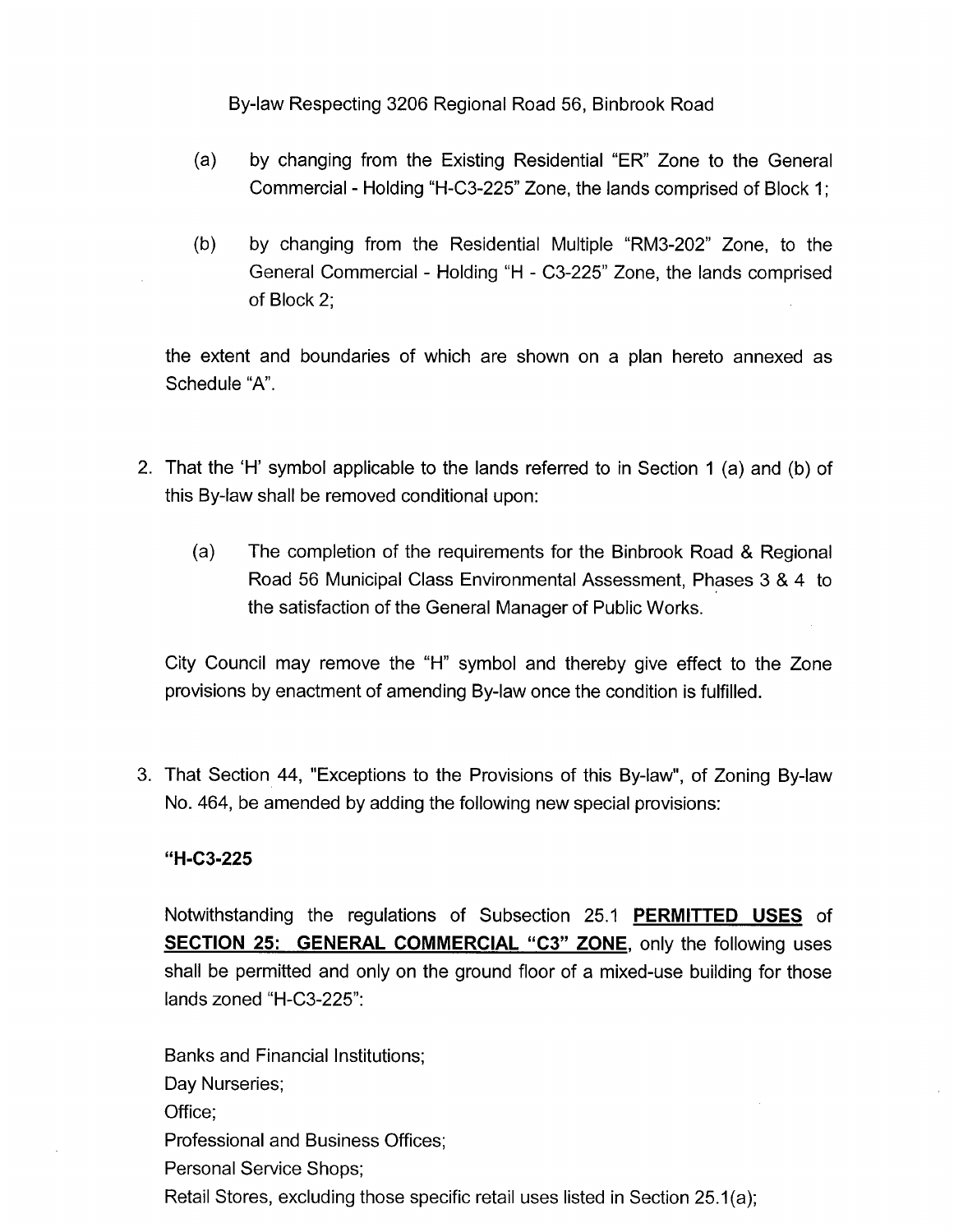- (a) by changing from the Existing Residential "ER" Zone to the General Commercial - Holding "H-C3-225" Zone, the lands comprised of Block 1 ;
- (b) by changing from the Residential Multiple "RM3-202" Zone, to the General Commercial - Holding "H - C3-225" Zone, the lands comprised of Block 2;

the extent and boundaries of which are shown on a plan hereto annexed as Schedule "A".

- 2. That the 'H' symbol applicable to the lands referred to in Section 1 (a) and (b) of this By-law shall be removed conditional upon:
	- (a) The completion of the requirements for the Binbrook Road *8,* Regional Road 56 Municipal Class Environmental Assessment, Phases 3 & 4 to the satisfaction of the General Manager of Public Works.

City Council may remove the "H" symbol and thereby give effect to the Zone provisions by enactment of amending By-law once the condition is fulfilled.

3. That Section 44, "Exceptions to the Provisions of this By-law", of Zoning By-law No. 464, be amended by adding the following new special provisions:

### **"H-C3-225**

Notwithstanding the regulations of Subsection 25.1 **PERMITTED USES** of **SECTION 25: GENERAL COMMERCIAL "C3" ZONE, only the following uses** shall be permitted and only on the ground floor of a mixed-use building for those lands zoned "H-C3-225":

Banks and Financial Institutions; Day Nurseries; Office; Professional and Business Offices; Personal Service Shops; Retail Stores, excluding those specific retail uses listed in Section 25.1(a);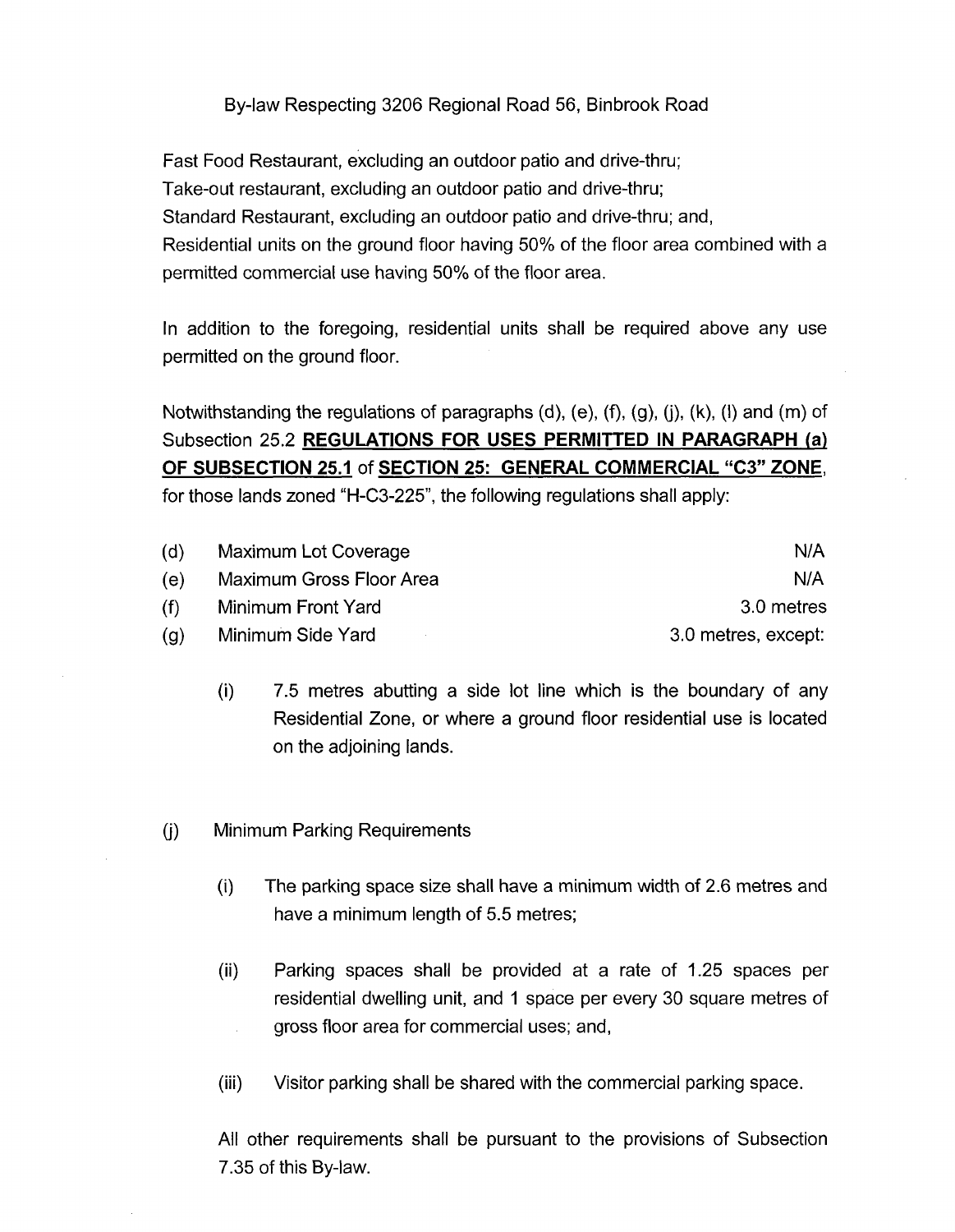Fast Food Restaurant, excluding an outdoor patio and drive-thru; Take-out restaurant, excluding an outdoor patio and drive-thru; Standard Restaurant, excluding an outdoor patio and drive-thru; and, Residential units on the ground floor having 50% of the floor area combined with a permitted commercial use having 50% of the floor area.

In addition to the foregoing, residential units shall be required above any use permitted on the ground floor.

Notwithstanding the regulations of paragraphs (d), (e), **(9,** (g), (j), (k), (I) and (m) of Subsection 25.2 **REGULATIONS FOR USES PERMITTED IN PARAGRAPH (a) OF SUBSECTION 25.1** of **SECTION 25: GENERAL COMMERCIAL "C3" ZONE,**  for those lands zoned "H-C3-225", the following regulations shall apply:

| (d)  | Maximum Lot Coverage     | N/A                 |
|------|--------------------------|---------------------|
| (e)  | Maximum Gross Floor Area | N/A                 |
| (f). | Minimum Front Yard       | 3.0 metres          |
| (a)  | Minimum Side Yard        | 3.0 metres, except: |

- (i) 7.5 metres abutting a side lot line which is the boundary of any Residential Zone, or where a ground floor residential use is located on the adjoining lands.
- (j) Minimum Parking Requirements
	- (i) The parking space size shall have a minimum width of 2.6 metres and have a minimum length of 5.5 metres;
	- (ii) Parking spaces shall be provided at a rate of 1.25 spaces per residential dwelling unit, and 1 space per every 30 square metres of gross floor area for commercial uses; and,
	- (iii) Visitor parking shall be shared with the commercial parking space.

All other requirements shall be pursuant to the provisions of Subsection 7.35 of this By-law.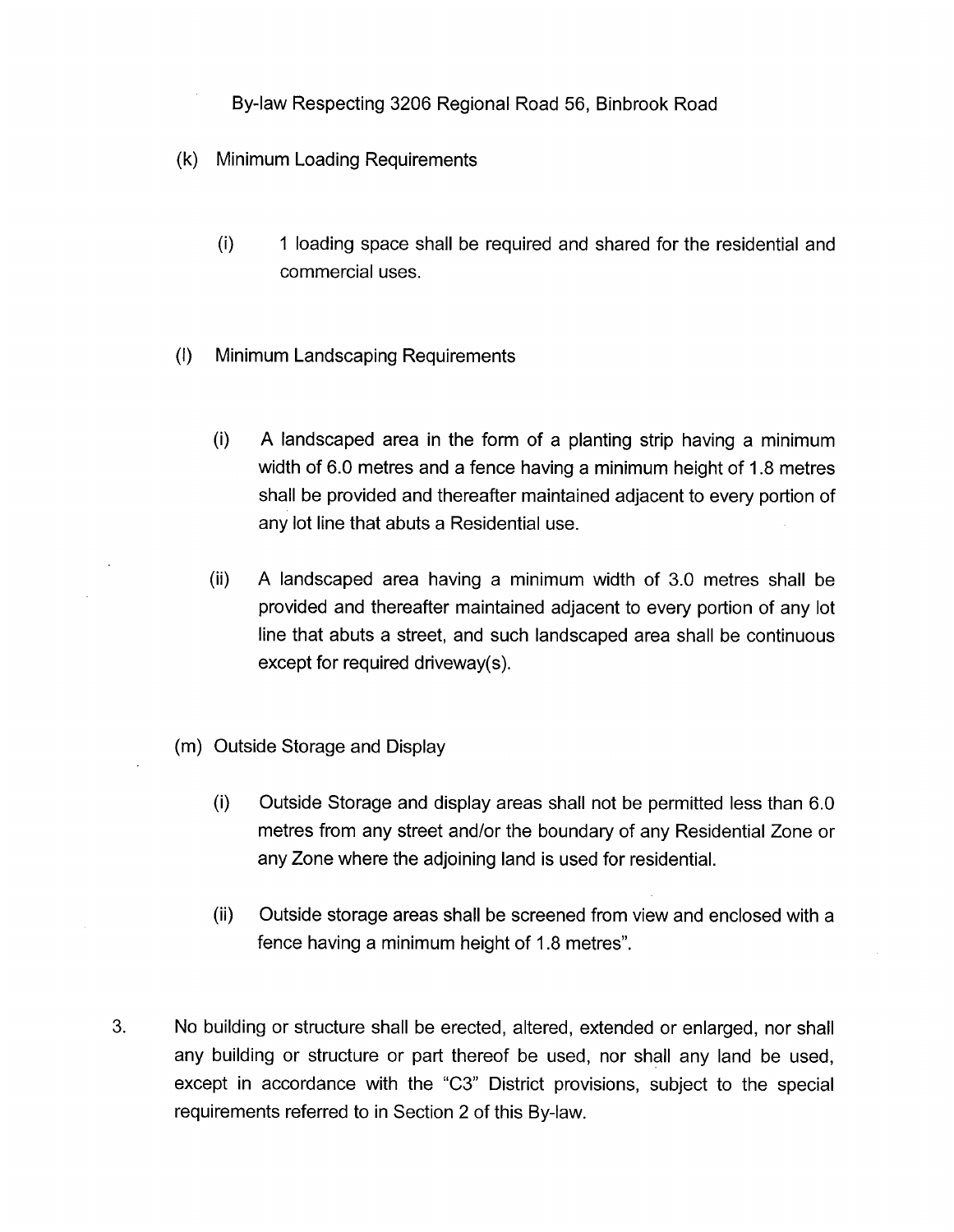- (k) Minimum Loading Requirements
	- 0) 1 loading space shall be required and shared for the residential and commercial uses.
- (I) Minimum Landscaping Requirements
	- (i) A landscaped area in the form of a planting strip having a minimum width of 6.0 metres and a fence having a minimum height of 1.8 metres shall be provided and thereafter maintained adjacent to every portion of any lot line that abuts a Residential use.
	- (ii) A landscaped area having a minimum width of 3.0 metres shall be provided and thereafter maintained adjacent to every portion of any lot line that abuts a street, and such landscaped area shall be continuous except for required driveway(s).
- (m) Outside Storage and Display
	- (i) Outside Storage and display areas shall not be permitted less than 6.0 metres from any street and/or the boundary of any Residential Zone or any Zone where the adjoining land is used for residential.
	- (ii) Outside storage areas shall be screened from view and enclosed with a fence having a minimum height of 1.8 metres".
- **3.** No building or structure shall be erected, altered, extended or enlarged, nor shall any building or structure or part thereof be used, nor shall any land be used, except in accordance with the **"C3"** District provisions, subject to the special requirements referred to in Section 2 of this By-law.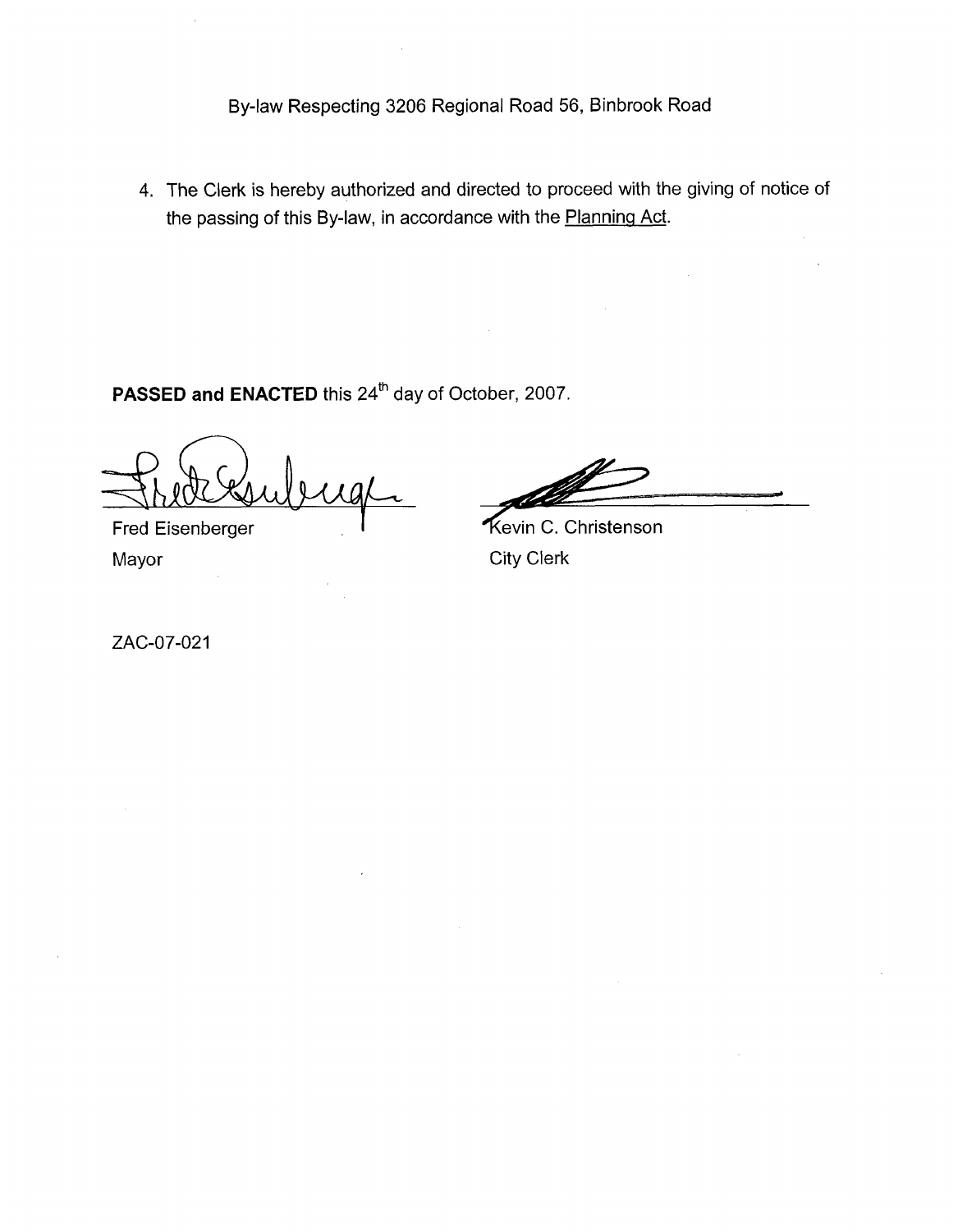**4.** The Clerk is hereby authorized and directed to proceed with the giving of notice of the passing of this By-law, in accordance with the Planning Act.

**PASSED and ENACTED** this 24'h day of October, 2007.

**Fred Eisenberger** Mayor **Mayor** City Clerk

Kevin C. Christenson

ZAC-07-021